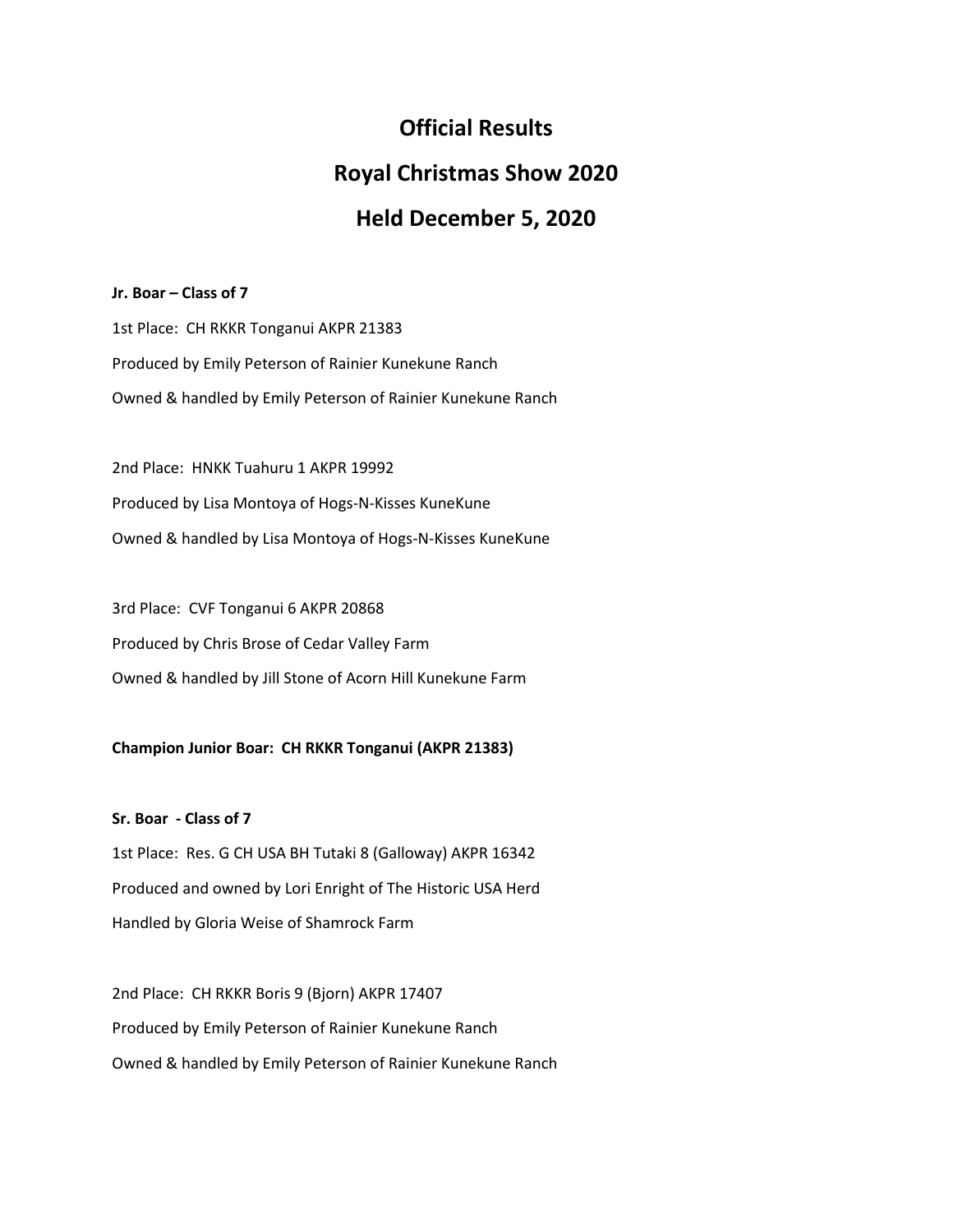# **Official Results**

# **Royal Christmas Show 2020**

# **Held December 5, 2020**

## **Jr. Boar – Class of 7**

1st Place: CH RKKR Tonganui AKPR 21383 Produced by Emily Peterson of Rainier Kunekune Ranch Owned & handled by Emily Peterson of Rainier Kunekune Ranch

2nd Place: HNKK Tuahuru 1 AKPR 19992 Produced by Lisa Montoya of Hogs-N-Kisses KuneKune Owned & handled by Lisa Montoya of Hogs-N-Kisses KuneKune

3rd Place: CVF Tonganui 6 AKPR 20868 Produced by Chris Brose of Cedar Valley Farm Owned & handled by Jill Stone of Acorn Hill Kunekune Farm

# **Champion Junior Boar: CH RKKR Tonganui (AKPR 21383)**

**Sr. Boar - Class of 7** 1st Place: Res. G CH USA BH Tutaki 8 (Galloway) AKPR 16342 Produced and owned by Lori Enright of The Historic USA Herd

Handled by Gloria Weise of Shamrock Farm

2nd Place: CH RKKR Boris 9 (Bjorn) AKPR 17407 Produced by Emily Peterson of Rainier Kunekune Ranch Owned & handled by Emily Peterson of Rainier Kunekune Ranch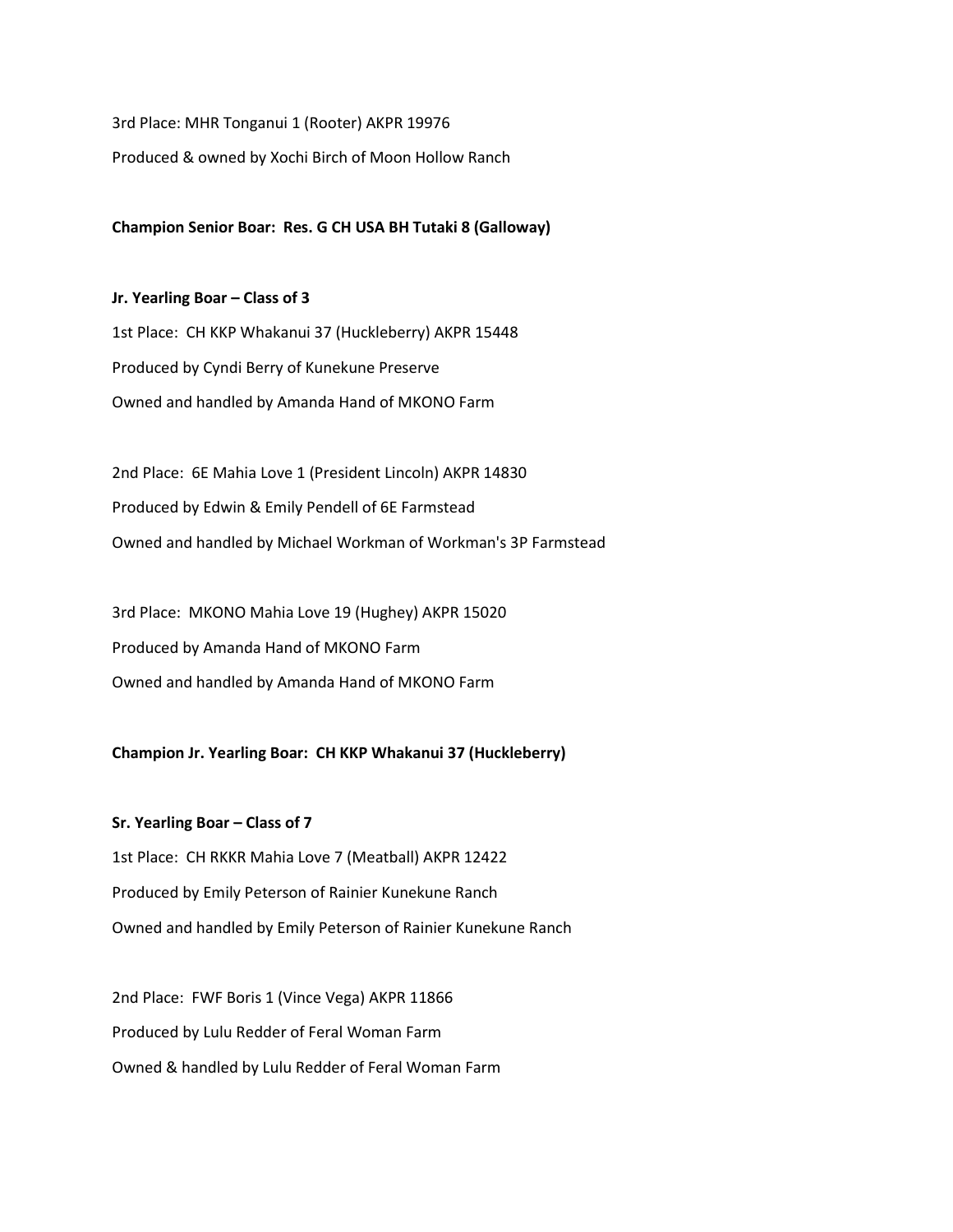3rd Place: MHR Tonganui 1 (Rooter) AKPR 19976

Produced & owned by Xochi Birch of Moon Hollow Ranch

**Champion Senior Boar: Res. G CH USA BH Tutaki 8 (Galloway)**

**Jr. Yearling Boar – Class of 3** 1st Place: CH KKP Whakanui 37 (Huckleberry) AKPR 15448 Produced by Cyndi Berry of Kunekune Preserve Owned and handled by Amanda Hand of MKONO Farm

2nd Place: 6E Mahia Love 1 (President Lincoln) AKPR 14830 Produced by Edwin & Emily Pendell of 6E Farmstead Owned and handled by Michael Workman of Workman's 3P Farmstead

3rd Place: MKONO Mahia Love 19 (Hughey) AKPR 15020 Produced by Amanda Hand of MKONO Farm Owned and handled by Amanda Hand of MKONO Farm

# **Champion Jr. Yearling Boar: CH KKP Whakanui 37 (Huckleberry)**

**Sr. Yearling Boar – Class of 7** 1st Place: CH RKKR Mahia Love 7 (Meatball) AKPR 12422 Produced by Emily Peterson of Rainier Kunekune Ranch Owned and handled by Emily Peterson of Rainier Kunekune Ranch

2nd Place: FWF Boris 1 (Vince Vega) AKPR 11866 Produced by Lulu Redder of Feral Woman Farm Owned & handled by Lulu Redder of Feral Woman Farm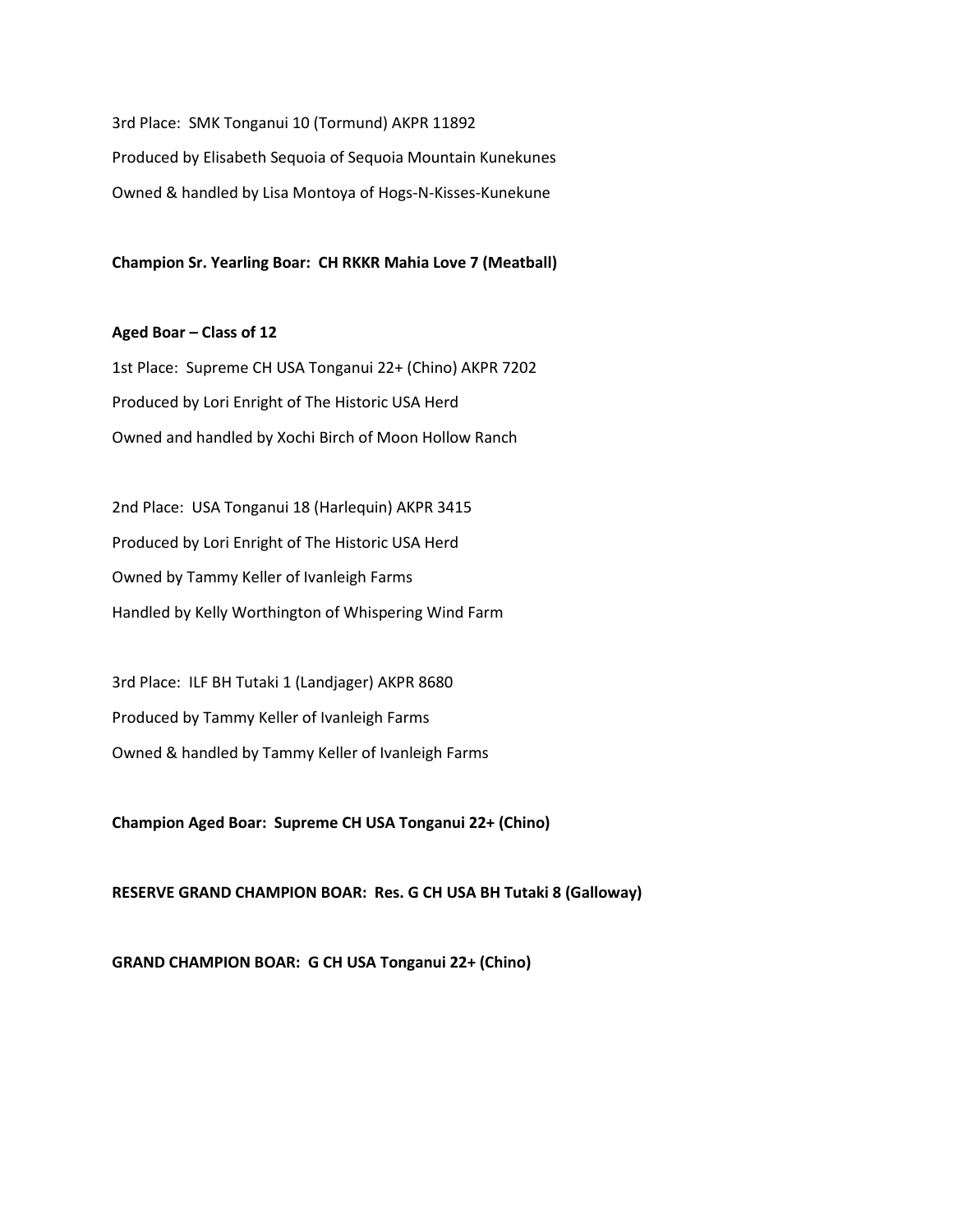3rd Place: SMK Tonganui 10 (Tormund) AKPR 11892 Produced by Elisabeth Sequoia of Sequoia Mountain Kunekunes Owned & handled by Lisa Montoya of Hogs-N-Kisses-Kunekune

**Champion Sr. Yearling Boar: CH RKKR Mahia Love 7 (Meatball)**

## **Aged Boar – Class of 12**

1st Place: Supreme CH USA Tonganui 22+ (Chino) AKPR 7202 Produced by Lori Enright of The Historic USA Herd Owned and handled by Xochi Birch of Moon Hollow Ranch

2nd Place: USA Tonganui 18 (Harlequin) AKPR 3415 Produced by Lori Enright of The Historic USA Herd Owned by Tammy Keller of Ivanleigh Farms Handled by Kelly Worthington of Whispering Wind Farm

3rd Place: ILF BH Tutaki 1 (Landjager) AKPR 8680 Produced by Tammy Keller of Ivanleigh Farms Owned & handled by Tammy Keller of Ivanleigh Farms

**Champion Aged Boar: Supreme CH USA Tonganui 22+ (Chino)**

**RESERVE GRAND CHAMPION BOAR: Res. G CH USA BH Tutaki 8 (Galloway)**

**GRAND CHAMPION BOAR: G CH USA Tonganui 22+ (Chino)**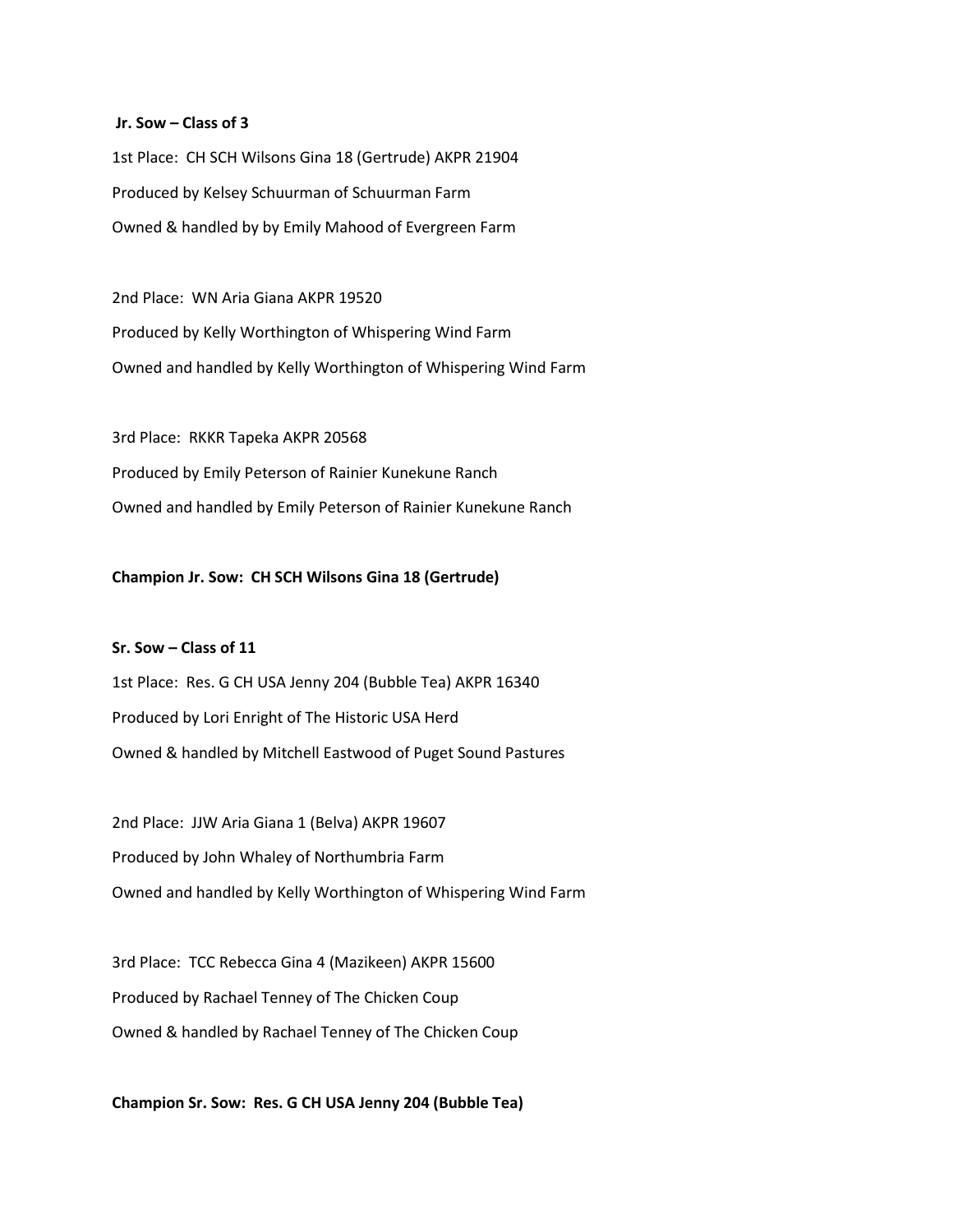### **Jr. Sow – Class of 3**

1st Place: CH SCH Wilsons Gina 18 (Gertrude) AKPR 21904 Produced by Kelsey Schuurman of Schuurman Farm Owned & handled by by Emily Mahood of Evergreen Farm

2nd Place: WN Aria Giana AKPR 19520 Produced by Kelly Worthington of Whispering Wind Farm Owned and handled by Kelly Worthington of Whispering Wind Farm

3rd Place: RKKR Tapeka AKPR 20568 Produced by Emily Peterson of Rainier Kunekune Ranch Owned and handled by Emily Peterson of Rainier Kunekune Ranch

## **Champion Jr. Sow: CH SCH Wilsons Gina 18 (Gertrude)**

## **Sr. Sow – Class of 11**

1st Place: Res. G CH USA Jenny 204 (Bubble Tea) AKPR 16340 Produced by Lori Enright of The Historic USA Herd Owned & handled by Mitchell Eastwood of Puget Sound Pastures

2nd Place: JJW Aria Giana 1 (Belva) AKPR 19607 Produced by John Whaley of Northumbria Farm Owned and handled by Kelly Worthington of Whispering Wind Farm

3rd Place: TCC Rebecca Gina 4 (Mazikeen) AKPR 15600 Produced by Rachael Tenney of The Chicken Coup Owned & handled by Rachael Tenney of The Chicken Coup

**Champion Sr. Sow: Res. G CH USA Jenny 204 (Bubble Tea)**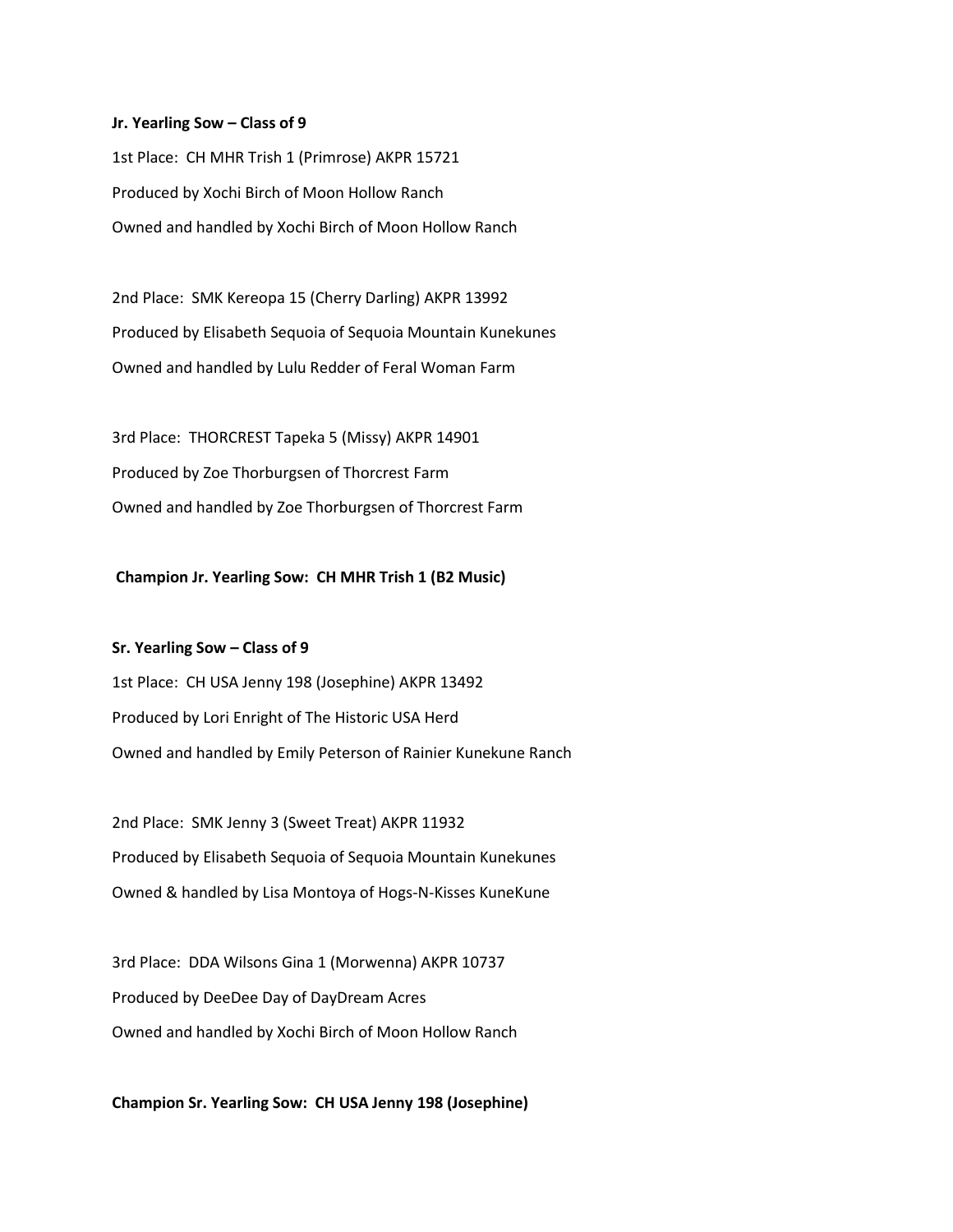#### **Jr. Yearling Sow – Class of 9**

1st Place: CH MHR Trish 1 (Primrose) AKPR 15721 Produced by Xochi Birch of Moon Hollow Ranch Owned and handled by Xochi Birch of Moon Hollow Ranch

2nd Place: SMK Kereopa 15 (Cherry Darling) AKPR 13992 Produced by Elisabeth Sequoia of Sequoia Mountain Kunekunes Owned and handled by Lulu Redder of Feral Woman Farm

3rd Place: THORCREST Tapeka 5 (Missy) AKPR 14901 Produced by Zoe Thorburgsen of Thorcrest Farm Owned and handled by Zoe Thorburgsen of Thorcrest Farm

## **Champion Jr. Yearling Sow: CH MHR Trish 1 (B2 Music)**

**Sr. Yearling Sow – Class of 9** 1st Place: CH USA Jenny 198 (Josephine) AKPR 13492 Produced by Lori Enright of The Historic USA Herd Owned and handled by Emily Peterson of Rainier Kunekune Ranch

2nd Place: SMK Jenny 3 (Sweet Treat) AKPR 11932 Produced by Elisabeth Sequoia of Sequoia Mountain Kunekunes Owned & handled by Lisa Montoya of Hogs-N-Kisses KuneKune

3rd Place: DDA Wilsons Gina 1 (Morwenna) AKPR 10737 Produced by DeeDee Day of DayDream Acres Owned and handled by Xochi Birch of Moon Hollow Ranch

**Champion Sr. Yearling Sow: CH USA Jenny 198 (Josephine)**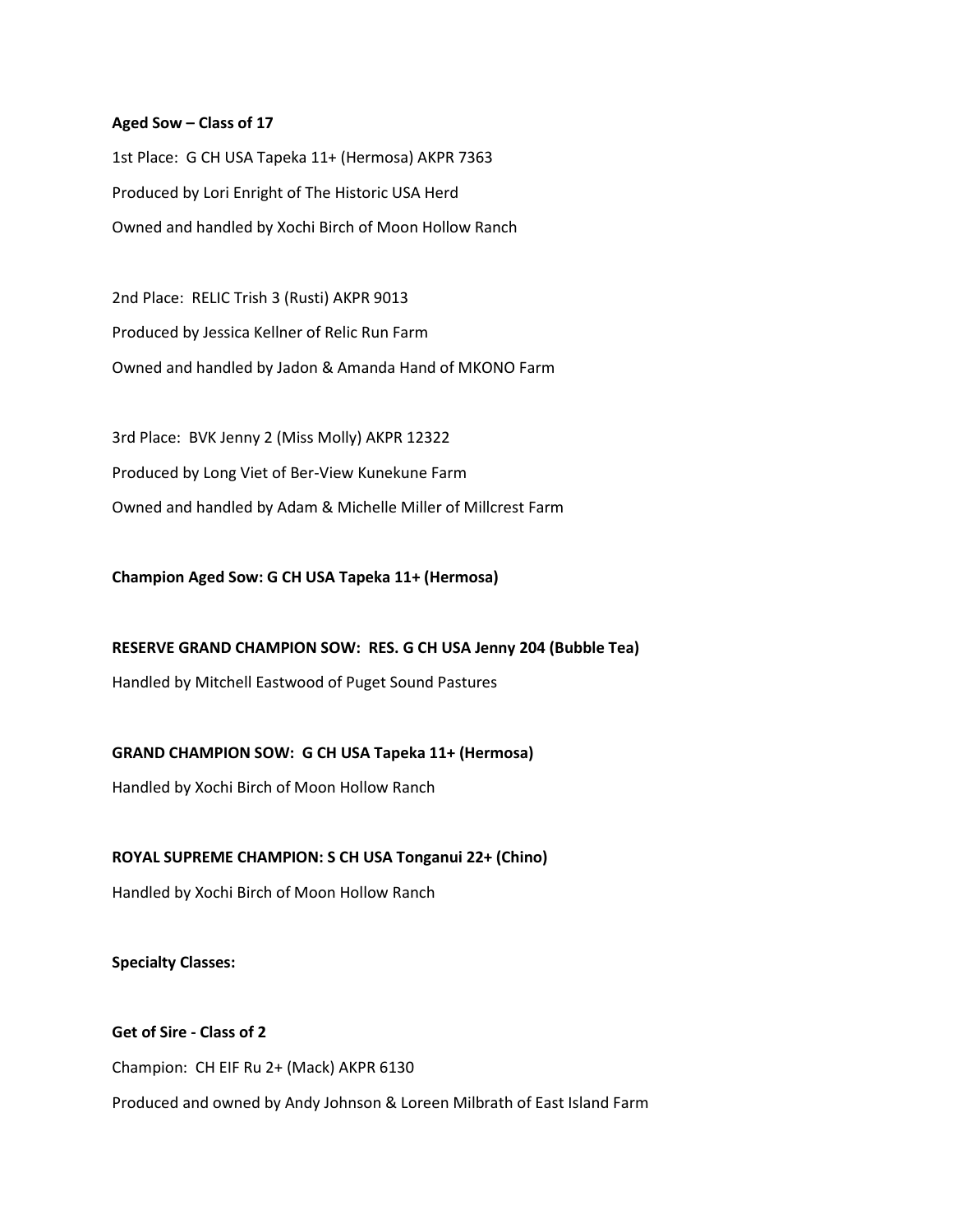## **Aged Sow – Class of 17**

1st Place: G CH USA Tapeka 11+ (Hermosa) AKPR 7363 Produced by Lori Enright of The Historic USA Herd Owned and handled by Xochi Birch of Moon Hollow Ranch

2nd Place: RELIC Trish 3 (Rusti) AKPR 9013 Produced by Jessica Kellner of Relic Run Farm Owned and handled by Jadon & Amanda Hand of MKONO Farm

3rd Place: BVK Jenny 2 (Miss Molly) AKPR 12322 Produced by Long Viet of Ber-View Kunekune Farm Owned and handled by Adam & Michelle Miller of Millcrest Farm

**Champion Aged Sow: G CH USA Tapeka 11+ (Hermosa)**

**RESERVE GRAND CHAMPION SOW: RES. G CH USA Jenny 204 (Bubble Tea)**

Handled by Mitchell Eastwood of Puget Sound Pastures

**GRAND CHAMPION SOW: G CH USA Tapeka 11+ (Hermosa)**

Handled by Xochi Birch of Moon Hollow Ranch

**ROYAL SUPREME CHAMPION: S CH USA Tonganui 22+ (Chino)**

Handled by Xochi Birch of Moon Hollow Ranch

**Specialty Classes:**

**Get of Sire - Class of 2** Champion: CH EIF Ru 2+ (Mack) AKPR 6130 Produced and owned by Andy Johnson & Loreen Milbrath of East Island Farm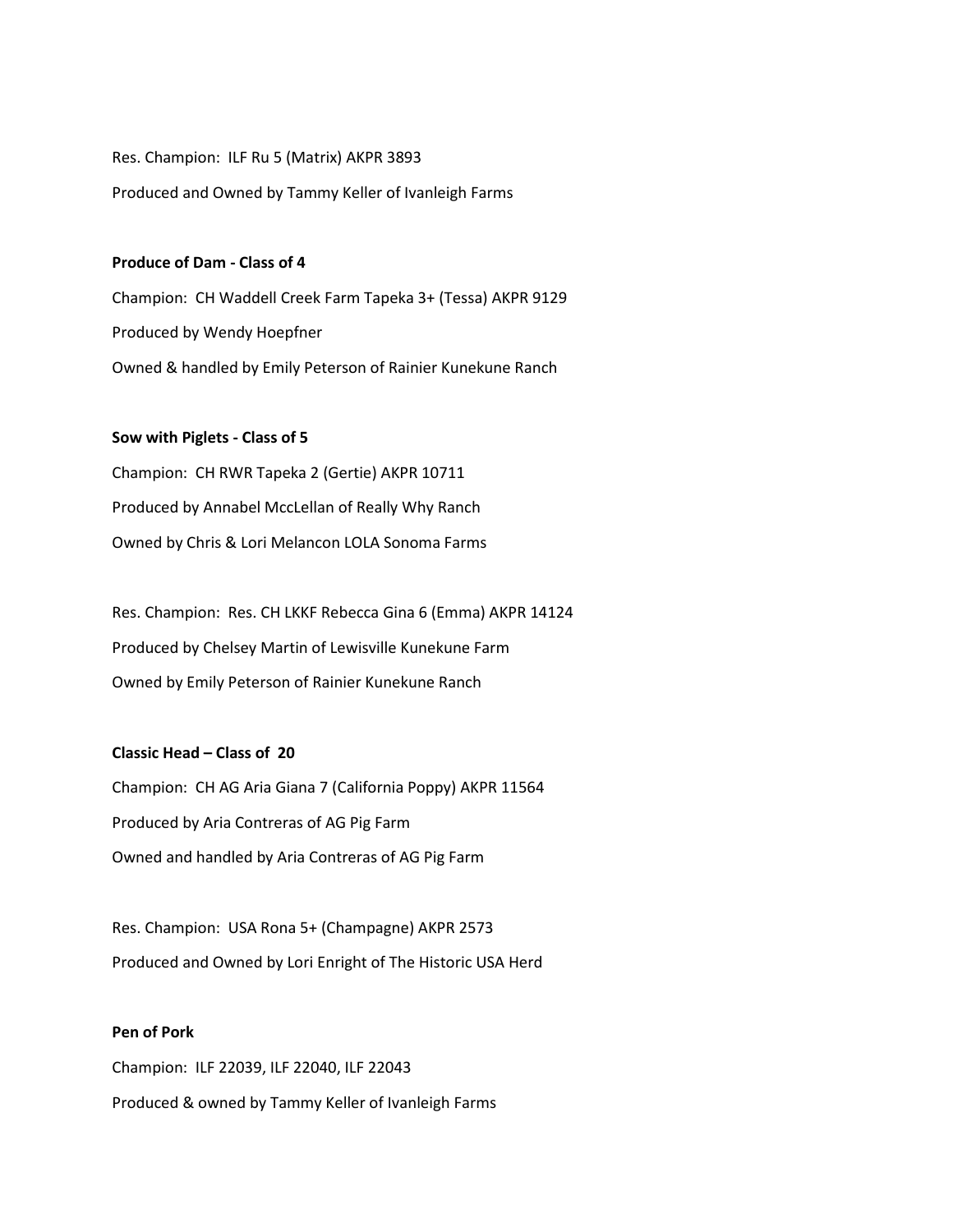Res. Champion: ILF Ru 5 (Matrix) AKPR 3893 Produced and Owned by Tammy Keller of Ivanleigh Farms

## **Produce of Dam - Class of 4**

Champion: CH Waddell Creek Farm Tapeka 3+ (Tessa) AKPR 9129 Produced by Wendy Hoepfner Owned & handled by Emily Peterson of Rainier Kunekune Ranch

## **Sow with Piglets - Class of 5**

Champion: CH RWR Tapeka 2 (Gertie) AKPR 10711 Produced by Annabel MccLellan of Really Why Ranch Owned by Chris & Lori Melancon LOLA Sonoma Farms

Res. Champion: Res. CH LKKF Rebecca Gina 6 (Emma) AKPR 14124 Produced by Chelsey Martin of Lewisville Kunekune Farm Owned by Emily Peterson of Rainier Kunekune Ranch

# **Classic Head – Class of 20**

Champion: CH AG Aria Giana 7 (California Poppy) AKPR 11564 Produced by Aria Contreras of AG Pig Farm Owned and handled by Aria Contreras of AG Pig Farm

Res. Champion: USA Rona 5+ (Champagne) AKPR 2573 Produced and Owned by Lori Enright of The Historic USA Herd

## **Pen of Pork**

Champion: ILF 22039, ILF 22040, ILF 22043 Produced & owned by Tammy Keller of Ivanleigh Farms